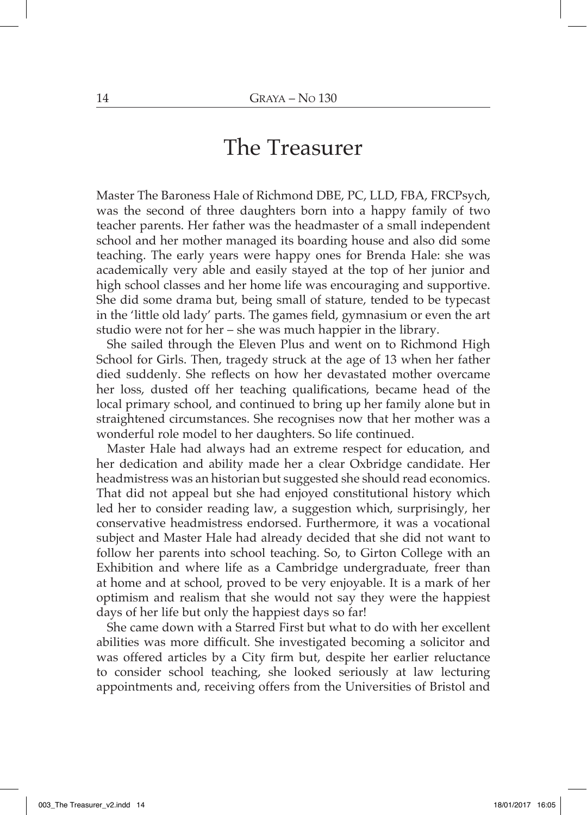## The Treasurer

Master The Baroness Hale of Richmond DBE, PC, LLD, FBA, FRCPsych, was the second of three daughters born into a happy family of two teacher parents. Her father was the headmaster of a small independent school and her mother managed its boarding house and also did some teaching. The early years were happy ones for Brenda Hale: she was academically very able and easily stayed at the top of her junior and high school classes and her home life was encouraging and supportive. She did some drama but, being small of stature, tended to be typecast in the 'little old lady' parts. The games field, gymnasium or even the art studio were not for her – she was much happier in the library.

She sailed through the Eleven Plus and went on to Richmond High School for Girls. Then, tragedy struck at the age of 13 when her father died suddenly. She reflects on how her devastated mother overcame her loss, dusted off her teaching qualifications, became head of the local primary school, and continued to bring up her family alone but in straightened circumstances. She recognises now that her mother was a wonderful role model to her daughters. So life continued.

Master Hale had always had an extreme respect for education, and her dedication and ability made her a clear Oxbridge candidate. Her headmistress was an historian but suggested she should read economics. That did not appeal but she had enjoyed constitutional history which led her to consider reading law, a suggestion which, surprisingly, her conservative headmistress endorsed. Furthermore, it was a vocational subject and Master Hale had already decided that she did not want to follow her parents into school teaching. So, to Girton College with an Exhibition and where life as a Cambridge undergraduate, freer than at home and at school, proved to be very enjoyable. It is a mark of her optimism and realism that she would not say they were the happiest days of her life but only the happiest days so far!

She came down with a Starred First but what to do with her excellent abilities was more difficult. She investigated becoming a solicitor and was offered articles by a City firm but, despite her earlier reluctance to consider school teaching, she looked seriously at law lecturing appointments and, receiving offers from the Universities of Bristol and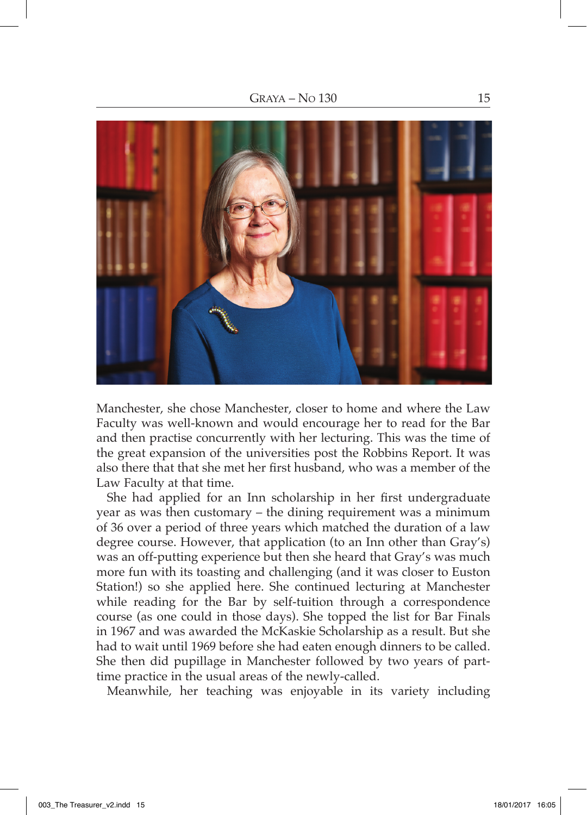

Manchester, she chose Manchester, closer to home and where the Law Faculty was well-known and would encourage her to read for the Bar and then practise concurrently with her lecturing. This was the time of the great expansion of the universities post the Robbins Report. It was also there that that she met her first husband, who was a member of the Law Faculty at that time.

She had applied for an Inn scholarship in her first undergraduate year as was then customary – the dining requirement was a minimum of 36 over a period of three years which matched the duration of a law degree course. However, that application (to an Inn other than Gray's) was an off-putting experience but then she heard that Gray's was much more fun with its toasting and challenging (and it was closer to Euston Station!) so she applied here. She continued lecturing at Manchester while reading for the Bar by self-tuition through a correspondence course (as one could in those days). She topped the list for Bar Finals in 1967 and was awarded the McKaskie Scholarship as a result. But she had to wait until 1969 before she had eaten enough dinners to be called. She then did pupillage in Manchester followed by two years of parttime practice in the usual areas of the newly-called.

Meanwhile, her teaching was enjoyable in its variety including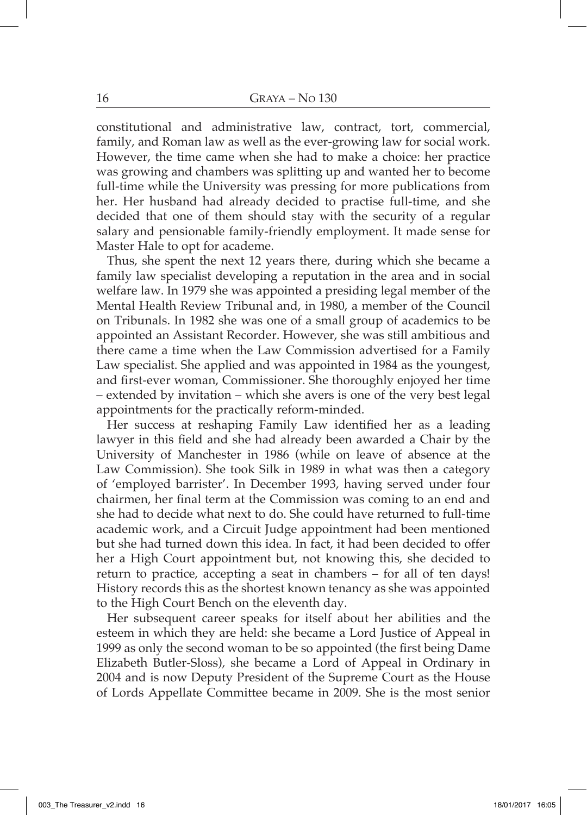constitutional and administrative law, contract, tort, commercial, family, and Roman law as well as the ever-growing law for social work. However, the time came when she had to make a choice: her practice was growing and chambers was splitting up and wanted her to become full-time while the University was pressing for more publications from her. Her husband had already decided to practise full-time, and she decided that one of them should stay with the security of a regular salary and pensionable family-friendly employment. It made sense for Master Hale to opt for academe.

Thus, she spent the next 12 years there, during which she became a family law specialist developing a reputation in the area and in social welfare law. In 1979 she was appointed a presiding legal member of the Mental Health Review Tribunal and, in 1980, a member of the Council on Tribunals. In 1982 she was one of a small group of academics to be appointed an Assistant Recorder. However, she was still ambitious and there came a time when the Law Commission advertised for a Family Law specialist. She applied and was appointed in 1984 as the youngest, and first-ever woman, Commissioner. She thoroughly enjoyed her time – extended by invitation – which she avers is one of the very best legal appointments for the practically reform-minded.

Her success at reshaping Family Law identified her as a leading lawyer in this field and she had already been awarded a Chair by the University of Manchester in 1986 (while on leave of absence at the Law Commission). She took Silk in 1989 in what was then a category of 'employed barrister'. In December 1993, having served under four chairmen, her final term at the Commission was coming to an end and she had to decide what next to do. She could have returned to full-time academic work, and a Circuit Judge appointment had been mentioned but she had turned down this idea. In fact, it had been decided to offer her a High Court appointment but, not knowing this, she decided to return to practice, accepting a seat in chambers – for all of ten days! History records this as the shortest known tenancy as she was appointed to the High Court Bench on the eleventh day.

Her subsequent career speaks for itself about her abilities and the esteem in which they are held: she became a Lord Justice of Appeal in 1999 as only the second woman to be so appointed (the first being Dame Elizabeth Butler-Sloss), she became a Lord of Appeal in Ordinary in 2004 and is now Deputy President of the Supreme Court as the House of Lords Appellate Committee became in 2009. She is the most senior